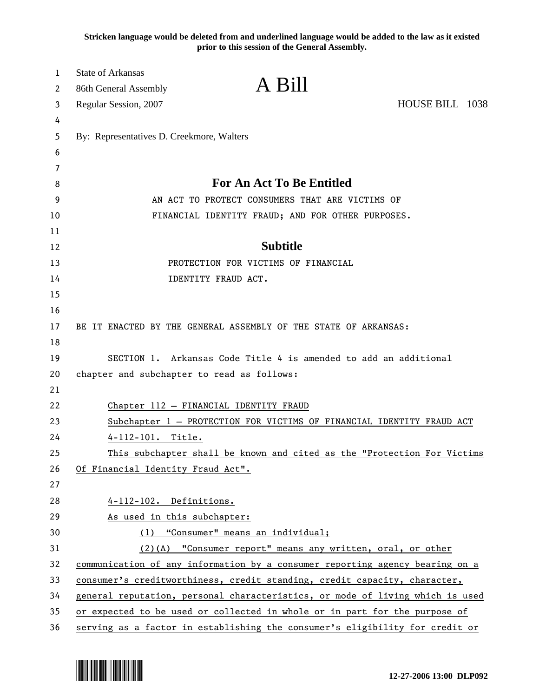**Stricken language would be deleted from and underlined language would be added to the law as it existed prior to this session of the General Assembly.**

| 1        | <b>State of Arkansas</b>                   | A Bill                                                                        |                 |  |
|----------|--------------------------------------------|-------------------------------------------------------------------------------|-----------------|--|
| 2        | 86th General Assembly                      |                                                                               |                 |  |
| 3        | Regular Session, 2007                      |                                                                               | HOUSE BILL 1038 |  |
| 4        |                                            |                                                                               |                 |  |
| 5        | By: Representatives D. Creekmore, Walters  |                                                                               |                 |  |
| 6        |                                            |                                                                               |                 |  |
| 7        |                                            | <b>For An Act To Be Entitled</b>                                              |                 |  |
| 8        |                                            |                                                                               |                 |  |
| 9        |                                            | AN ACT TO PROTECT CONSUMERS THAT ARE VICTIMS OF                               |                 |  |
| 10       |                                            | FINANCIAL IDENTITY FRAUD; AND FOR OTHER PURPOSES.                             |                 |  |
| 11<br>12 |                                            | <b>Subtitle</b>                                                               |                 |  |
| 13       |                                            | PROTECTION FOR VICTIMS OF FINANCIAL                                           |                 |  |
| 14       |                                            | IDENTITY FRAUD ACT.                                                           |                 |  |
| 15       |                                            |                                                                               |                 |  |
| 16       |                                            |                                                                               |                 |  |
| 17       |                                            | BE IT ENACTED BY THE GENERAL ASSEMBLY OF THE STATE OF ARKANSAS:               |                 |  |
| 18       |                                            |                                                                               |                 |  |
| 19       |                                            | SECTION 1. Arkansas Code Title 4 is amended to add an additional              |                 |  |
| 20       | chapter and subchapter to read as follows: |                                                                               |                 |  |
| 21       |                                            |                                                                               |                 |  |
| 22       |                                            | Chapter 112 - FINANCIAL IDENTITY FRAUD                                        |                 |  |
| 23       |                                            | Subchapter 1 - PROTECTION FOR VICTIMS OF FINANCIAL IDENTITY FRAUD ACT         |                 |  |
| 24       | $4 - 112 - 101$ .<br>Title.                |                                                                               |                 |  |
| 25       |                                            | This subchapter shall be known and cited as the "Protection For Victims       |                 |  |
| 26       | Of Financial Identity Fraud Act".          |                                                                               |                 |  |
| 27       |                                            |                                                                               |                 |  |
| 28       | 4-112-102. Definitions.                    |                                                                               |                 |  |
| 29       | As used in this subchapter:                |                                                                               |                 |  |
| 30       |                                            | (1) "Consumer" means an individual;                                           |                 |  |
| 31       |                                            | (2)(A) "Consumer report" means any written, oral, or other                    |                 |  |
| 32       |                                            | communication of any information by a consumer reporting agency bearing on a  |                 |  |
| 33       |                                            | consumer's creditworthiness, credit standing, credit capacity, character,     |                 |  |
| 34       |                                            | general reputation, personal characteristics, or mode of living which is used |                 |  |
| 35       |                                            | or expected to be used or collected in whole or in part for the purpose of    |                 |  |
| 36       |                                            | serving as a factor in establishing the consumer's eligibility for credit or  |                 |  |

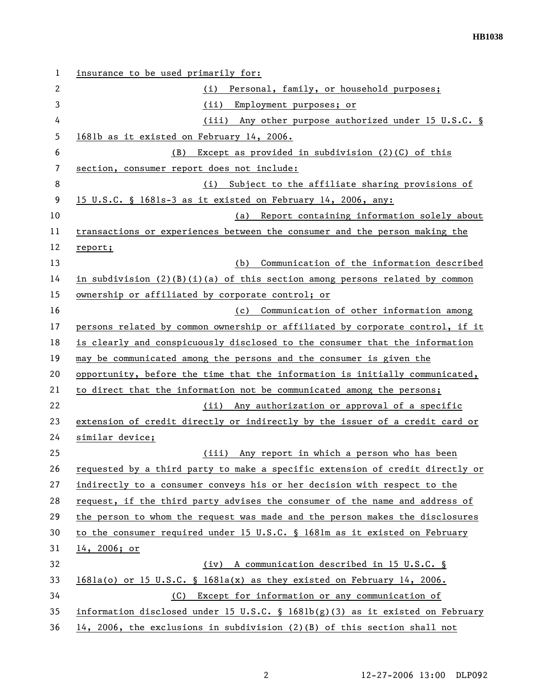| 1  | insurance to be used primarily for:                                             |
|----|---------------------------------------------------------------------------------|
| 2  | (i) Personal, family, or household purposes;                                    |
| 3  | (ii) Employment purposes; or                                                    |
| 4  | (iii) Any other purpose authorized under 15 U.S.C. §                            |
| 5  | 1681b as it existed on February 14, 2006.                                       |
| 6  | Except as provided in subdivision $(2)(C)$ of this<br>(B)                       |
| 7  | section, consumer report does not include:                                      |
| 8  | Subject to the affiliate sharing provisions of<br>(i)                           |
| 9  | 15 U.S.C. § 1681s-3 as it existed on February 14, 2006, any:                    |
| 10 | (a) Report containing information solely about                                  |
| 11 | transactions or experiences between the consumer and the person making the      |
| 12 | report;                                                                         |
| 13 | Communication of the information described<br>(b)                               |
| 14 | in subdivision $(2)(B)(i)(a)$ of this section among persons related by common   |
| 15 | ownership or affiliated by corporate control; or                                |
| 16 | (c) Communication of other information among                                    |
| 17 | persons related by common ownership or affiliated by corporate control, if it   |
| 18 | is clearly and conspicuously disclosed to the consumer that the information     |
| 19 | may be communicated among the persons and the consumer is given the             |
| 20 | opportunity, before the time that the information is initially communicated,    |
| 21 | to direct that the information not be communicated among the persons;           |
| 22 | (ii) Any authorization or approval of a specific                                |
| 23 | extension of credit directly or indirectly by the issuer of a credit card or    |
| 24 | similar device;                                                                 |
| 25 | (iii) Any report in which a person who has been                                 |
| 26 | requested by a third party to make a specific extension of credit directly or   |
| 27 | indirectly to a consumer conveys his or her decision with respect to the        |
| 28 | request, if the third party advises the consumer of the name and address of     |
| 29 | the person to whom the request was made and the person makes the disclosures    |
| 30 | to the consumer required under 15 U.S.C. § 1681m as it existed on February      |
| 31 | 14, 2006; or                                                                    |
| 32 | (iv) A communication described in 15 U.S.C. §                                   |
| 33 | $1681a(o)$ or 15 U.S.C. § 1681a(x) as they existed on February 14, 2006.        |
| 34 | Except for information or any communication of<br>(C)                           |
| 35 | information disclosed under 15 U.S.C. § $1681b(g)(3)$ as it existed on February |
| 36 | 14, 2006, the exclusions in subdivision $(2)(B)$ of this section shall not      |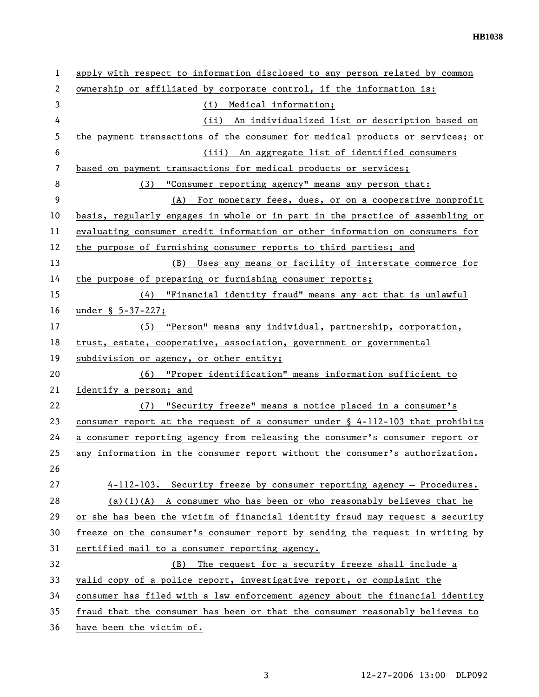| 1  | apply with respect to information disclosed to any person related by common      |
|----|----------------------------------------------------------------------------------|
| 2  | ownership or affiliated by corporate control, if the information is:             |
| 3  | (i) Medical information;                                                         |
| 4  | (ii) An individualized list or description based on                              |
| 5  | the payment transactions of the consumer for medical products or services; or    |
| 6  | (iii) An aggregate list of identified consumers                                  |
| 7  | based on payment transactions for medical products or services;                  |
| 8  | (3) "Consumer reporting agency" means any person that:                           |
| 9  | (A) For monetary fees, dues, or on a cooperative nonprofit                       |
| 10 | basis, regularly engages in whole or in part in the practice of assembling or    |
| 11 | evaluating consumer credit information or other information on consumers for     |
| 12 | the purpose of furnishing consumer reports to third parties; and                 |
| 13 | (B) Uses any means or facility of interstate commerce for                        |
| 14 | the purpose of preparing or furnishing consumer reports;                         |
| 15 | (4) "Financial identity fraud" means any act that is unlawful                    |
| 16 | under § 5-37-227;                                                                |
| 17 | (5) "Person" means any individual, partnership, corporation,                     |
| 18 | trust, estate, cooperative, association, government or governmental              |
| 19 | subdivision or agency, or other entity;                                          |
| 20 | (6) "Proper identification" means information sufficient to                      |
| 21 | identify a person; and                                                           |
| 22 | "Security freeze" means a notice placed in a consumer's<br>(7)                   |
| 23 | consumer report at the request of a consumer under $\S$ 4-112-103 that prohibits |
| 24 | a consumer reporting agency from releasing the consumer's consumer report or     |
| 25 | any information in the consumer report without the consumer's authorization.     |
| 26 |                                                                                  |
| 27 | 4-112-103. Security freeze by consumer reporting agency - Procedures.            |
| 28 | $(a)(1)(A)$ A consumer who has been or who reasonably believes that he           |
| 29 | or she has been the victim of financial identity fraud may request a security    |
| 30 | freeze on the consumer's consumer report by sending the request in writing by    |
| 31 | certified mail to a consumer reporting agency.                                   |
| 32 | The request for a security freeze shall include a<br>(B)                         |
| 33 | valid copy of a police report, investigative report, or complaint the            |
| 34 | consumer has filed with a law enforcement agency about the financial identity    |
| 35 | fraud that the consumer has been or that the consumer reasonably believes to     |
| 36 | have been the victim of.                                                         |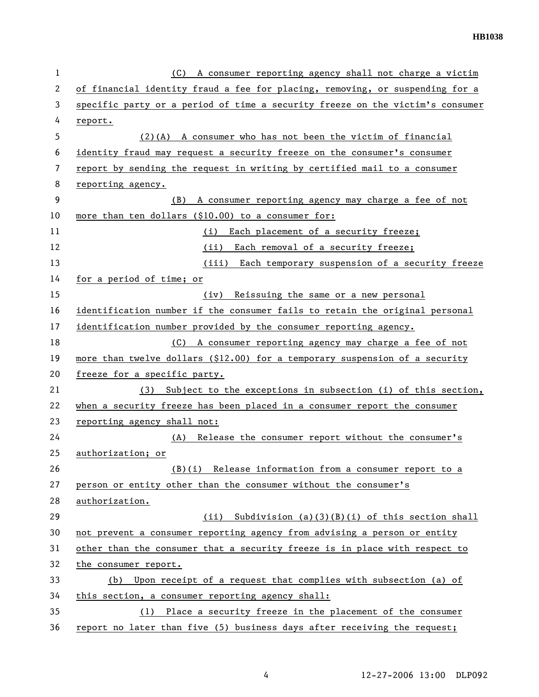| 1  | (C) A consumer reporting agency shall not charge a victim                     |
|----|-------------------------------------------------------------------------------|
| 2  | of financial identity fraud a fee for placing, removing, or suspending for a  |
| 3  | specific party or a period of time a security freeze on the victim's consumer |
| 4  | report.                                                                       |
| 5  | $(2)(A)$ A consumer who has not been the victim of financial                  |
| 6  | identity fraud may request a security freeze on the consumer's consumer       |
| 7  | report by sending the request in writing by certified mail to a consumer      |
| 8  | reporting agency.                                                             |
| 9  | A consumer reporting agency may charge a fee of not<br>(B)                    |
| 10 | more than ten dollars (\$10.00) to a consumer for:                            |
| 11 | Each placement of a security freeze;<br>(i)                                   |
| 12 | Each removal of a security freeze;<br>(ii)                                    |
| 13 | (iii) Each temporary suspension of a security freeze                          |
| 14 | for a period of time; or                                                      |
| 15 | Reissuing the same or a new personal<br>(iv)                                  |
| 16 | identification number if the consumer fails to retain the original personal   |
| 17 | identification number provided by the consumer reporting agency.              |
| 18 | (C) A consumer reporting agency may charge a fee of not                       |
| 19 | more than twelve dollars (\$12.00) for a temporary suspension of a security   |
| 20 | freeze for a specific party.                                                  |
| 21 | (3) Subject to the exceptions in subsection (i) of this section,              |
| 22 | when a security freeze has been placed in a consumer report the consumer      |
| 23 | reporting agency shall not:                                                   |
| 24 | Release the consumer report without the consumer's<br>(A)                     |
| 25 | authorization; or                                                             |
| 26 | (B)(i) Release information from a consumer report to a                        |
| 27 | person or entity other than the consumer without the consumer's               |
| 28 | authorization.                                                                |
| 29 | Subdivision $(a)(3)(B)(i)$ of this section shall<br>(ii)                      |
| 30 | not prevent a consumer reporting agency from advising a person or entity      |
| 31 | other than the consumer that a security freeze is in place with respect to    |
| 32 | the consumer report.                                                          |
| 33 | Upon receipt of a request that complies with subsection (a) of<br>(b)         |
| 34 | this section, a consumer reporting agency shall:                              |
| 35 | Place a security freeze in the placement of the consumer<br>(1)               |
| 36 | report no later than five (5) business days after receiving the request;      |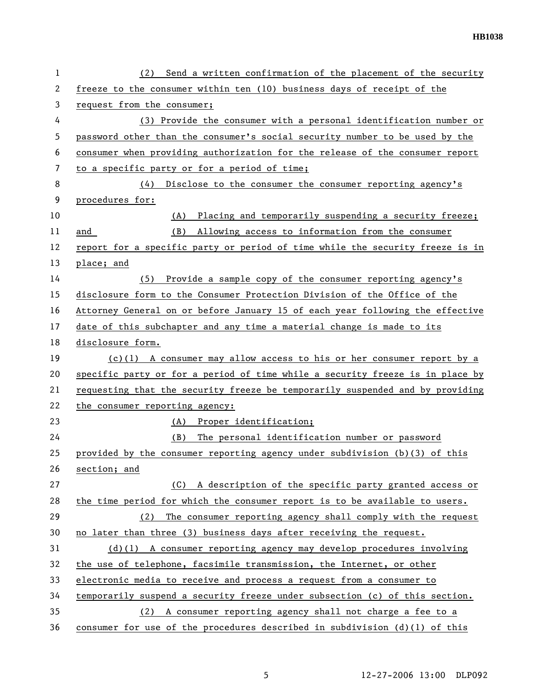| 1  | (2) Send a written confirmation of the placement of the security              |
|----|-------------------------------------------------------------------------------|
| 2  | freeze to the consumer within ten (10) business days of receipt of the        |
| 3  | request from the consumer;                                                    |
| 4  | (3) Provide the consumer with a personal identification number or             |
| 5  | password other than the consumer's social security number to be used by the   |
| 6  | consumer when providing authorization for the release of the consumer report  |
| 7  | to a specific party or for a period of time;                                  |
| 8  | Disclose to the consumer the consumer reporting agency's<br>(4)               |
| 9  | procedures for:                                                               |
| 10 | Placing and temporarily suspending a security freeze;<br>(A)                  |
| 11 | Allowing access to information from the consumer<br>and<br>(B)                |
| 12 | report for a specific party or period of time while the security freeze is in |
| 13 | place; and                                                                    |
| 14 | (5) Provide a sample copy of the consumer reporting agency's                  |
| 15 | disclosure form to the Consumer Protection Division of the Office of the      |
| 16 | Attorney General on or before January 15 of each year following the effective |
| 17 | date of this subchapter and any time a material change is made to its         |
| 18 | disclosure form.                                                              |
| 19 | $(c)(1)$ A consumer may allow access to his or her consumer report by a       |
| 20 | specific party or for a period of time while a security freeze is in place by |
| 21 | requesting that the security freeze be temporarily suspended and by providing |
| 22 | the consumer reporting agency:                                                |
| 23 | (A) Proper identification;                                                    |
| 24 | The personal identification number or password<br>(B)                         |
| 25 | provided by the consumer reporting agency under subdivision (b)(3) of this    |
| 26 | section; and                                                                  |
| 27 | A description of the specific party granted access or<br>(C)                  |
| 28 | the time period for which the consumer report is to be available to users.    |
| 29 | The consumer reporting agency shall comply with the request<br>(2)            |
| 30 | no later than three (3) business days after receiving the request.            |
| 31 | $(d)(1)$ A consumer reporting agency may develop procedures involving         |
| 32 | the use of telephone, facsimile transmission, the Internet, or other          |
| 33 | electronic media to receive and process a request from a consumer to          |
| 34 | temporarily suspend a security freeze under subsection (c) of this section.   |
| 35 | (2) A consumer reporting agency shall not charge a fee to a                   |
| 36 | consumer for use of the procedures described in subdivision $(d)(1)$ of this  |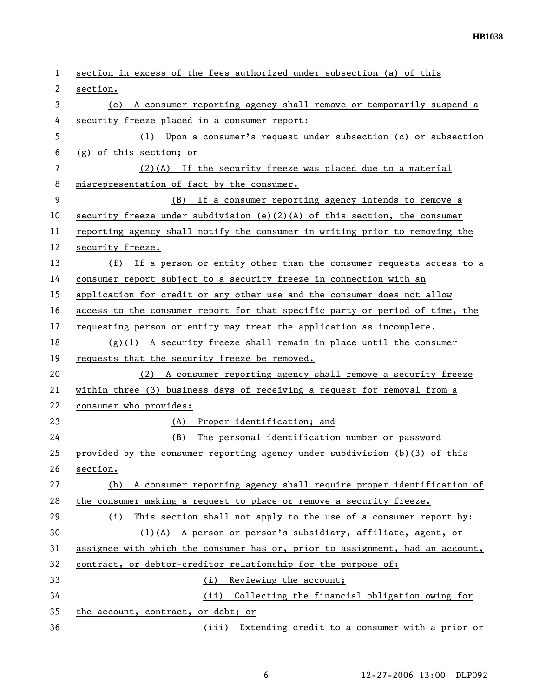| 1  | section in excess of the fees authorized under subsection (a) of this         |
|----|-------------------------------------------------------------------------------|
| 2  | section.                                                                      |
| 3  | (e) A consumer reporting agency shall remove or temporarily suspend a         |
| 4  | security freeze placed in a consumer report:                                  |
| 5  | (1) Upon a consumer's request under subsection (c) or subsection              |
| 6  | (g) of this section; or                                                       |
| 7  | $(2)(A)$ If the security freeze was placed due to a material                  |
| 8  | misrepresentation of fact by the consumer.                                    |
| 9  | (B) If a consumer reporting agency intends to remove a                        |
| 10 | security freeze under subdivision (e)(2)(A) of this section, the consumer     |
| 11 | reporting agency shall notify the consumer in writing prior to removing the   |
| 12 | security freeze.                                                              |
| 13 | (f) If a person or entity other than the consumer requests access to a        |
| 14 | consumer report subject to a security freeze in connection with an            |
| 15 | application for credit or any other use and the consumer does not allow       |
| 16 | access to the consumer report for that specific party or period of time, the  |
| 17 | requesting person or entity may treat the application as incomplete.          |
| 18 | $(g)(1)$ A security freeze shall remain in place until the consumer           |
| 19 | requests that the security freeze be removed.                                 |
| 20 | (2) A consumer reporting agency shall remove a security freeze                |
| 21 | within three (3) business days of receiving a request for removal from a      |
| 22 | consumer who provides:                                                        |
| 23 | (A) Proper identification; and                                                |
| 24 | (B)<br>The personal identification number or password                         |
| 25 | provided by the consumer reporting agency under subdivision (b)(3) of this    |
| 26 | section.                                                                      |
| 27 | A consumer reporting agency shall require proper identification of<br>(h)     |
| 28 | the consumer making a request to place or remove a security freeze.           |
| 29 | This section shall not apply to the use of a consumer report by:<br>(i)       |
| 30 | (1)(A) A person or person's subsidiary, affiliate, agent, or                  |
| 31 | assignee with which the consumer has or, prior to assignment, had an account, |
| 32 | contract, or debtor-creditor relationship for the purpose of:                 |
| 33 | Reviewing the account;<br>(i)                                                 |
| 34 | (ii) Collecting the financial obligation owing for                            |
| 35 | the account, contract, or debt; or                                            |
| 36 | (iii) Extending credit to a consumer with a prior or                          |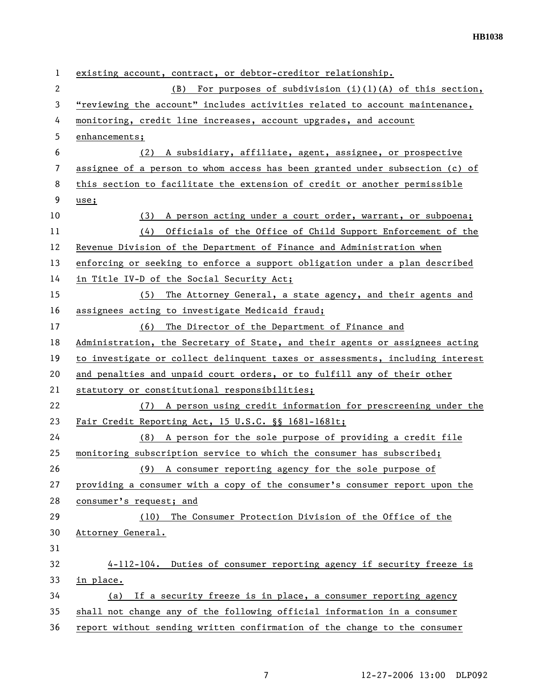| 1              | existing account, contract, or debtor-creditor relationship.                  |
|----------------|-------------------------------------------------------------------------------|
| $\overline{2}$ | For purposes of subdivision $(i)(1)(A)$ of this section,<br>(B)               |
| 3              | "reviewing the account" includes activities related to account maintenance,   |
| 4              | monitoring, credit line increases, account upgrades, and account              |
| 5              | enhancements;                                                                 |
| 6              | A subsidiary, affiliate, agent, assignee, or prospective<br>(2)               |
| 7              | assignee of a person to whom access has been granted under subsection (c) of  |
| 8              | this section to facilitate the extension of credit or another permissible     |
| 9              | use;                                                                          |
| 10             | A person acting under a court order, warrant, or subpoena;<br>(3)             |
| 11             | Officials of the Office of Child Support Enforcement of the<br>(4)            |
| 12             | Revenue Division of the Department of Finance and Administration when         |
| 13             | enforcing or seeking to enforce a support obligation under a plan described   |
| 14             | in Title IV-D of the Social Security Act;                                     |
| 15             | The Attorney General, a state agency, and their agents and<br>(5)             |
| 16             | assignees acting to investigate Medicaid fraud;                               |
| 17             | The Director of the Department of Finance and<br>(6)                          |
| 18             | Administration, the Secretary of State, and their agents or assignees acting  |
| 19             | to investigate or collect delinquent taxes or assessments, including interest |
| 20             | and penalties and unpaid court orders, or to fulfill any of their other       |
| 21             | statutory or constitutional responsibilities;                                 |
| 22             | (7) A person using credit information for prescreening under the              |
| 23             | Fair Credit Reporting Act, 15 U.S.C. §§ 1681-1681t;                           |
| 24             | (8) A person for the sole purpose of providing a credit file                  |
| 25             | monitoring subscription service to which the consumer has subscribed;         |
| 26             | (9) A consumer reporting agency for the sole purpose of                       |
| 27             | providing a consumer with a copy of the consumer's consumer report upon the   |
| 28             | consumer's request; and                                                       |
| 29             | The Consumer Protection Division of the Office of the<br>(10)                 |
| 30             | Attorney General.                                                             |
| 31             |                                                                               |
| 32             | 4-112-104. Duties of consumer reporting agency if security freeze is          |
| 33             | in place.                                                                     |
| 34             | If a security freeze is in place, a consumer reporting agency<br>(a)          |
| 35             | shall not change any of the following official information in a consumer      |
| 36             | report without sending written confirmation of the change to the consumer     |